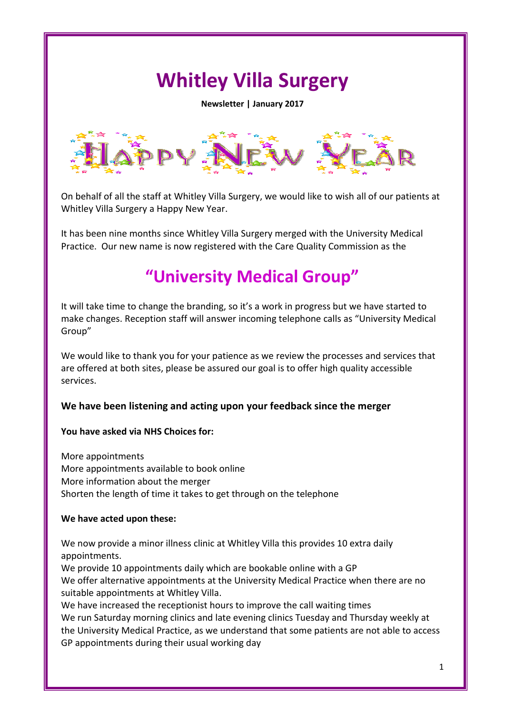# **Whitley Villa Surgery**

**Newsletter | January 2017**



On behalf of all the staff at Whitley Villa Surgery, we would like to wish all of our patients at Whitley Villa Surgery a Happy New Year.

It has been nine months since Whitley Villa Surgery merged with the University Medical Practice. Our new name is now registered with the Care Quality Commission as the

## **"University Medical Group"**

It will take time to change the branding, so it's a work in progress but we have started to make changes. Reception staff will answer incoming telephone calls as "University Medical Group"

We would like to thank you for your patience as we review the processes and services that are offered at both sites, please be assured our goal is to offer high quality accessible services.

#### **We have been listening and acting upon your feedback since the merger**

#### **You have asked via NHS Choices for:**

More appointments More appointments available to book online More information about the merger Shorten the length of time it takes to get through on the telephone

#### **We have acted upon these:**

We now provide a minor illness clinic at Whitley Villa this provides 10 extra daily appointments.

We provide 10 appointments daily which are bookable online with a GP We offer alternative appointments at the University Medical Practice when there are no suitable appointments at Whitley Villa.

We have increased the receptionist hours to improve the call waiting times We run Saturday morning clinics and late evening clinics Tuesday and Thursday weekly at the University Medical Practice, as we understand that some patients are not able to access GP appointments during their usual working day